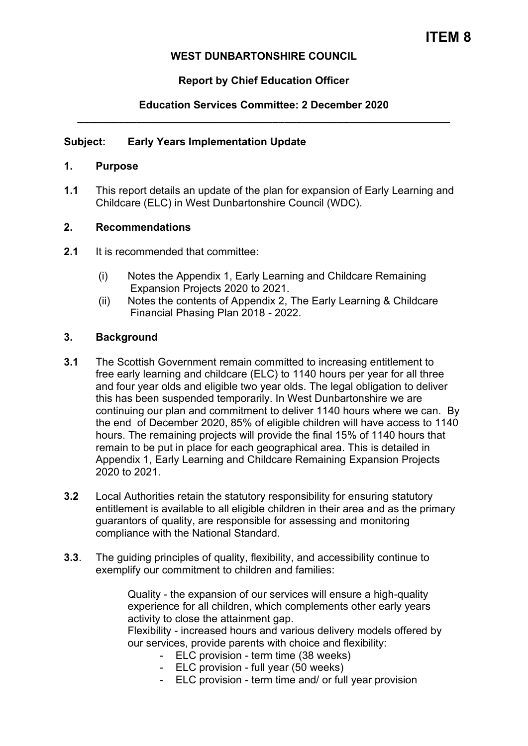## **WEST DUNBARTONSHIRE COUNCIL**

# **Report by Chief Education Officer**

## **Education Services Committee: 2 December 2020 \_\_\_\_\_\_\_\_\_\_\_\_\_\_\_\_\_\_\_\_\_\_\_\_\_\_\_\_\_\_\_\_\_\_\_\_\_\_\_\_\_\_\_\_\_\_\_\_\_\_\_\_\_\_\_\_\_\_\_\_\_\_\_**

## **Subject: Early Years Implementation Update**

#### **1. Purpose**

**1.1** This report details an update of the plan for expansion of Early Learning and Childcare (ELC) in West Dunbartonshire Council (WDC).

#### **2. Recommendations**

- **2.1** It is recommended that committee:
	- (i) Notes the Appendix 1, Early Learning and Childcare Remaining Expansion Projects 2020 to 2021.
	- (ii) Notes the contents of Appendix 2, The Early Learning & Childcare Financial Phasing Plan 2018 - 2022.

### **3. Background**

- **3.1** The Scottish Government remain committed to increasing entitlement to free early learning and childcare (ELC) to 1140 hours per year for all three and four year olds and eligible two year olds. The legal obligation to deliver this has been suspended temporarily. In West Dunbartonshire we are continuing our plan and commitment to deliver 1140 hours where we can. By the end of December 2020, 85% of eligible children will have access to 1140 hours. The remaining projects will provide the final 15% of 1140 hours that remain to be put in place for each geographical area. This is detailed in Appendix 1, Early Learning and Childcare Remaining Expansion Projects 2020 to 2021.
- **3.2** Local Authorities retain the statutory responsibility for ensuring statutory entitlement is available to all eligible children in their area and as the primary guarantors of quality, are responsible for assessing and monitoring compliance with the National Standard.
- **3.3**. The guiding principles of quality, flexibility, and accessibility continue to exemplify our commitment to children and families:

Quality - the expansion of our services will ensure a high-quality experience for all children, which complements other early years activity to close the attainment gap.

Flexibility - increased hours and various delivery models offered by our services, provide parents with choice and flexibility:

- ELC provision term time (38 weeks)
- ELC provision full year (50 weeks)
- ELC provision term time and/ or full year provision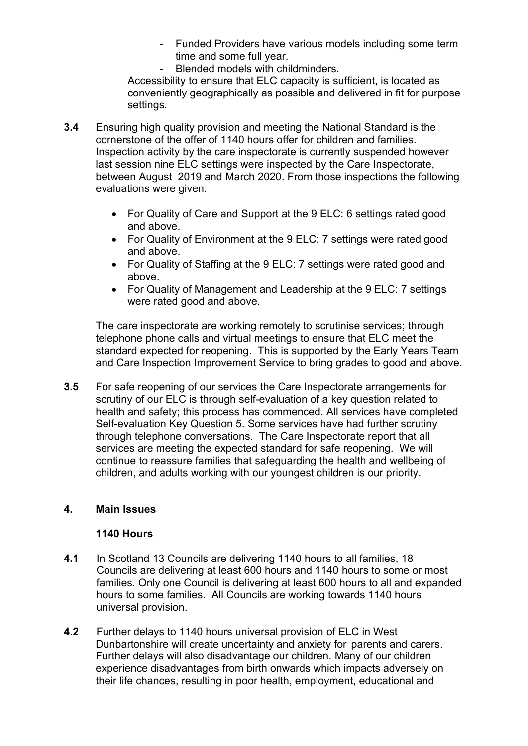- Funded Providers have various models including some term time and some full year.
- Blended models with childminders.

Accessibility to ensure that ELC capacity is sufficient, is located as conveniently geographically as possible and delivered in fit for purpose settings.

- **3.4** Ensuring high quality provision and meeting the National Standard is the cornerstone of the offer of 1140 hours offer for children and families. Inspection activity by the care inspectorate is currently suspended however last session nine ELC settings were inspected by the Care Inspectorate, between August 2019 and March 2020. From those inspections the following evaluations were given:
	- For Quality of Care and Support at the 9 ELC: 6 settings rated good and above.
	- For Quality of Environment at the 9 ELC: 7 settings were rated good and above.
	- For Quality of Staffing at the 9 ELC: 7 settings were rated good and above.
	- For Quality of Management and Leadership at the 9 ELC: 7 settings were rated good and above.

The care inspectorate are working remotely to scrutinise services; through telephone phone calls and virtual meetings to ensure that ELC meet the standard expected for reopening. This is supported by the Early Years Team and Care Inspection Improvement Service to bring grades to good and above.

**3.5** For safe reopening of our services the Care Inspectorate arrangements for scrutiny of our ELC is through self-evaluation of a key question related to health and safety; this process has commenced. All services have completed Self-evaluation Key Question 5. Some services have had further scrutiny through telephone conversations. The Care Inspectorate report that all services are meeting the expected standard for safe reopening. We will continue to reassure families that safeguarding the health and wellbeing of children, and adults working with our youngest children is our priority.

## **4. Main Issues**

#### **1140 Hours**

- **4.1** In Scotland 13 Councils are delivering 1140 hours to all families, 18 Councils are delivering at least 600 hours and 1140 hours to some or most families. Only one Council is delivering at least 600 hours to all and expanded hours to some families. All Councils are working towards 1140 hours universal provision.
- **4.2** Further delays to 1140 hours universal provision of ELC in West Dunbartonshire will create uncertainty and anxiety for parents and carers. Further delays will also disadvantage our children. Many of our children experience disadvantages from birth onwards which impacts adversely on their life chances, resulting in poor health, employment, educational and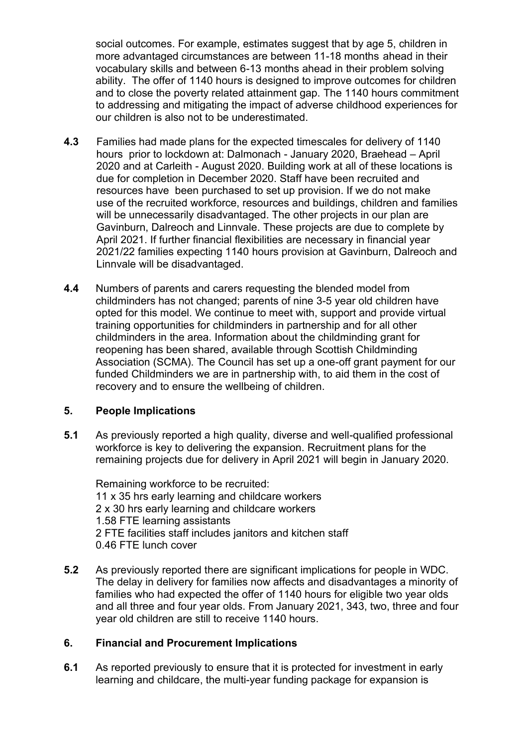social outcomes. For example, estimates suggest that by age 5, children in more advantaged circumstances are between 11-18 months ahead in their vocabulary skills and between 6-13 months ahead in their problem solving ability. The offer of 1140 hours is designed to improve outcomes for children and to close the poverty related attainment gap. The 1140 hours commitment to addressing and mitigating the impact of adverse childhood experiences for our children is also not to be underestimated.

- **4.3** Families had made plans for the expected timescales for delivery of 1140 hours prior to lockdown at: Dalmonach - January 2020, Braehead – April 2020 and at Carleith - August 2020. Building work at all of these locations is due for completion in December 2020. Staff have been recruited and resources have been purchased to set up provision. If we do not make use of the recruited workforce, resources and buildings, children and families will be unnecessarily disadvantaged. The other projects in our plan are Gavinburn, Dalreoch and Linnvale. These projects are due to complete by April 2021. If further financial flexibilities are necessary in financial year 2021/22 families expecting 1140 hours provision at Gavinburn, Dalreoch and Linnvale will be disadvantaged.
- **4.4** Numbers of parents and carers requesting the blended model from childminders has not changed; parents of nine 3-5 year old children have opted for this model. We continue to meet with, support and provide virtual training opportunities for childminders in partnership and for all other childminders in the area. Information about the childminding grant for reopening has been shared, available through Scottish Childminding Association (SCMA). The Council has set up a one-off grant payment for our funded Childminders we are in partnership with, to aid them in the cost of recovery and to ensure the wellbeing of children.

#### **5. People Implications**

**5.1** As previously reported a high quality, diverse and well-qualified professional workforce is key to delivering the expansion. Recruitment plans for the remaining projects due for delivery in April 2021 will begin in January 2020.

Remaining workforce to be recruited: 11 x 35 hrs early learning and childcare workers 2 x 30 hrs early learning and childcare workers 1.58 FTE learning assistants 2 FTE facilities staff includes janitors and kitchen staff 0.46 FTE lunch cover

**5.2** As previously reported there are significant implications for people in WDC. The delay in delivery for families now affects and disadvantages a minority of families who had expected the offer of 1140 hours for eligible two year olds and all three and four year olds. From January 2021, 343, two, three and four year old children are still to receive 1140 hours.

#### **6. Financial and Procurement Implications**

**6.1** As reported previously to ensure that it is protected for investment in early learning and childcare, the multi-year funding package for expansion is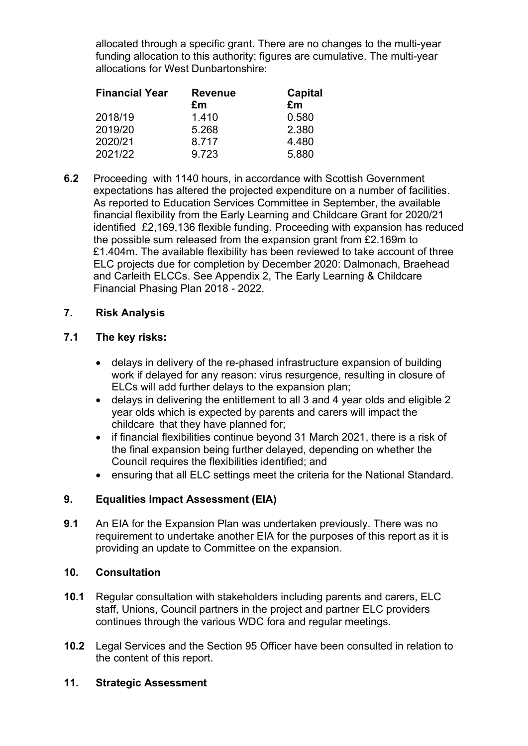allocated through a specific grant. There are no changes to the multi-year funding allocation to this authority; figures are cumulative. The multi-year allocations for West Dunbartonshire:

| <b>Financial Year</b> | <b>Revenue</b> | <b>Capital</b> |
|-----------------------|----------------|----------------|
|                       | £m             | £m             |
| 2018/19               | 1.410          | 0.580          |
| 2019/20               | 5.268          | 2.380          |
| 2020/21               | 8.717          | 4.480          |
| 2021/22               | 9.723          | 5.880          |

**6.2** Proceeding with 1140 hours, in accordance with Scottish Government expectations has altered the projected expenditure on a number of facilities. As reported to Education Services Committee in September, the available financial flexibility from the Early Learning and Childcare Grant for 2020/21 identified £2,169,136 flexible funding. Proceeding with expansion has reduced the possible sum released from the expansion grant from £2.169m to £1.404m. The available flexibility has been reviewed to take account of three ELC projects due for completion by December 2020: Dalmonach, Braehead and Carleith ELCCs. See Appendix 2, The Early Learning & Childcare Financial Phasing Plan 2018 - 2022.

### **7. Risk Analysis**

### **7.1 The key risks:**

- delays in delivery of the re-phased infrastructure expansion of building work if delayed for any reason: virus resurgence, resulting in closure of ELCs will add further delays to the expansion plan;
- delays in delivering the entitlement to all 3 and 4 year olds and eligible 2 year olds which is expected by parents and carers will impact the childcare that they have planned for;
- if financial flexibilities continue beyond 31 March 2021, there is a risk of the final expansion being further delayed, depending on whether the Council requires the flexibilities identified; and
- ensuring that all ELC settings meet the criteria for the National Standard.

## **9. Equalities Impact Assessment (EIA)**

**9.1** An EIA for the Expansion Plan was undertaken previously. There was no requirement to undertake another EIA for the purposes of this report as it is providing an update to Committee on the expansion.

#### **10. Consultation**

- **10.1** Regular consultation with stakeholders including parents and carers, ELC staff, Unions, Council partners in the project and partner ELC providers continues through the various WDC fora and regular meetings.
- **10.2** Legal Services and the Section 95 Officer have been consulted in relation to the content of this report.

#### **11. Strategic Assessment**